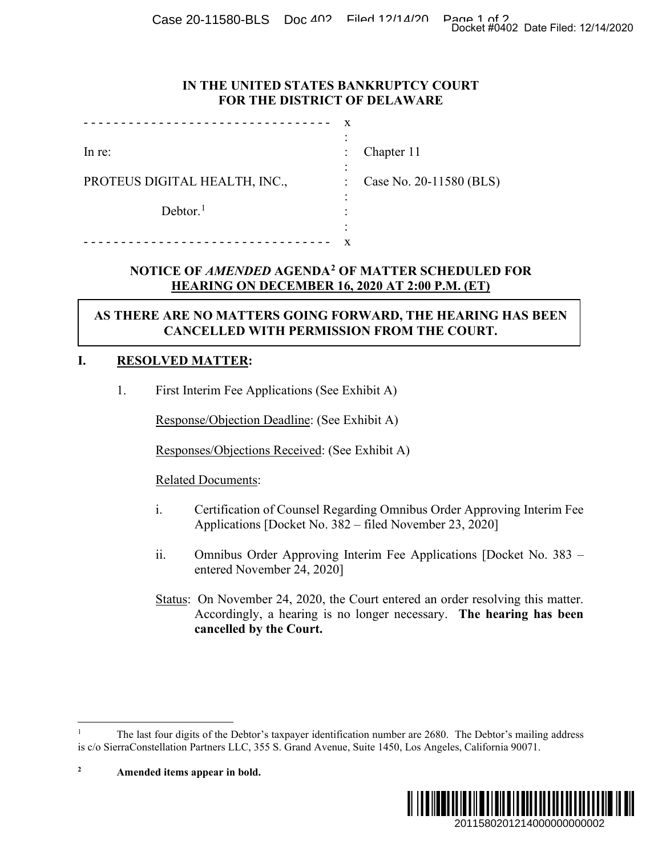Case 20-11580-BLS Doc 402 Filed 12/14/20 Page 1 of 2<br>Docket #0402 Date Filed: 12/14/2020

## **IN THE UNITED STATES BANKRUPTCY COURT FOR THE DISTRICT OF DELAWARE**

|                               | ٠              |                         |
|-------------------------------|----------------|-------------------------|
| In re:                        | $\ddot{\cdot}$ | Chapter 11              |
|                               | ٠<br>٠         |                         |
| PROTEUS DIGITAL HEALTH, INC., | $\ddot{\cdot}$ | Case No. 20-11580 (BLS) |
|                               | ٠              |                         |
| Dektor. <sup>1</sup>          | ٠              |                         |
|                               | ٠              |                         |
|                               |                |                         |

# **NOTICE OF** *AMENDED* **AGENDA[2](#page-0-1) OF MATTER SCHEDULED FOR HEARING ON DECEMBER 16, 2020 AT 2:00 P.M. (ET)**

# **AS THERE ARE NO MATTERS GOING FORWARD, THE HEARING HAS BEEN CANCELLED WITH PERMISSION FROM THE COURT.**

# **I. RESOLVED MATTER:**

1. First Interim Fee Applications (See Exhibit A)

Response/Objection Deadline: (See Exhibit A)

Responses/Objections Received: (See Exhibit A)

- i. Certification of Counsel Regarding Omnibus Order Approving Interim Fee Applications [Docket No. 382 – filed November 23, 2020]
- ii. Omnibus Order Approving Interim Fee Applications [Docket No. 383 entered November 24, 2020]
- Status: On November 24, 2020, the Court entered an order resolving this matter. Accordingly, a hearing is no longer necessary. **The hearing has been cancelled by the Court.**



<span id="page-0-0"></span><sup>1</sup> The last four digits of the Debtor's taxpayer identification number are 2680. The Debtor's mailing address is c/o SierraConstellation Partners LLC, 355 S. Grand Avenue, Suite 1450, Los Angeles, California 90071.

<span id="page-0-1"></span>**<sup>2</sup> Amended items appear in bold.**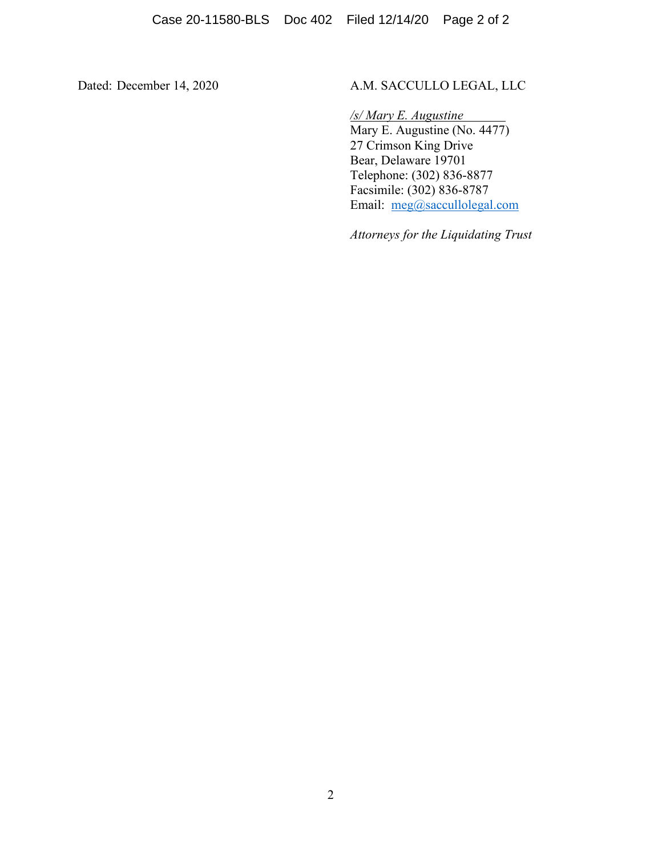# Dated: December 14, 2020 A.M. SACCULLO LEGAL, LLC

*/s/ Mary E. Augustine* Mary E. Augustine (No. 4477) 27 Crimson King Drive Bear, Delaware 19701 Telephone: (302) 836-8877 Facsimile: (302) 836-8787 Email: [meg@saccullolegal.com](mailto:meg@saccullolegal.com)

*Attorneys for the Liquidating Trust*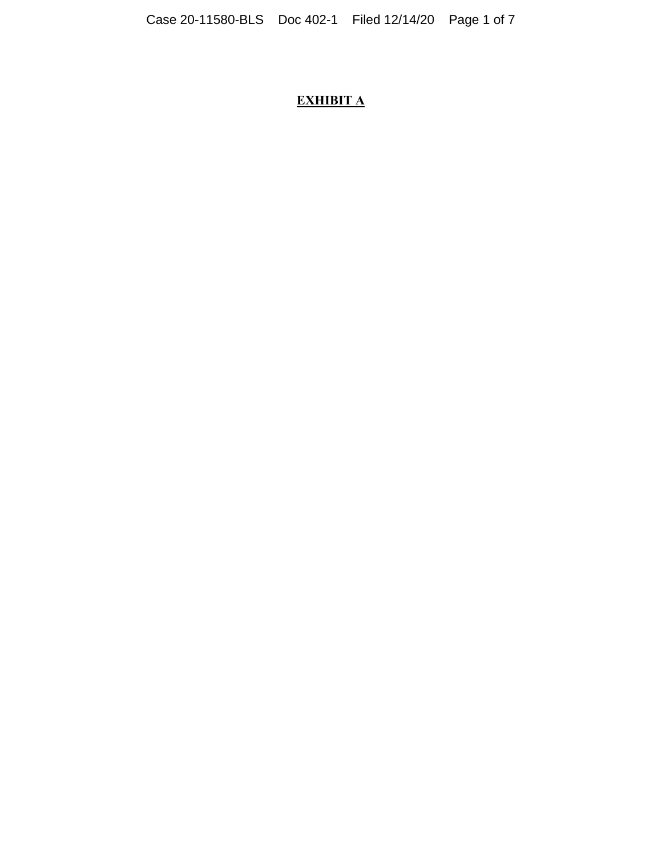# **EXHIBIT A**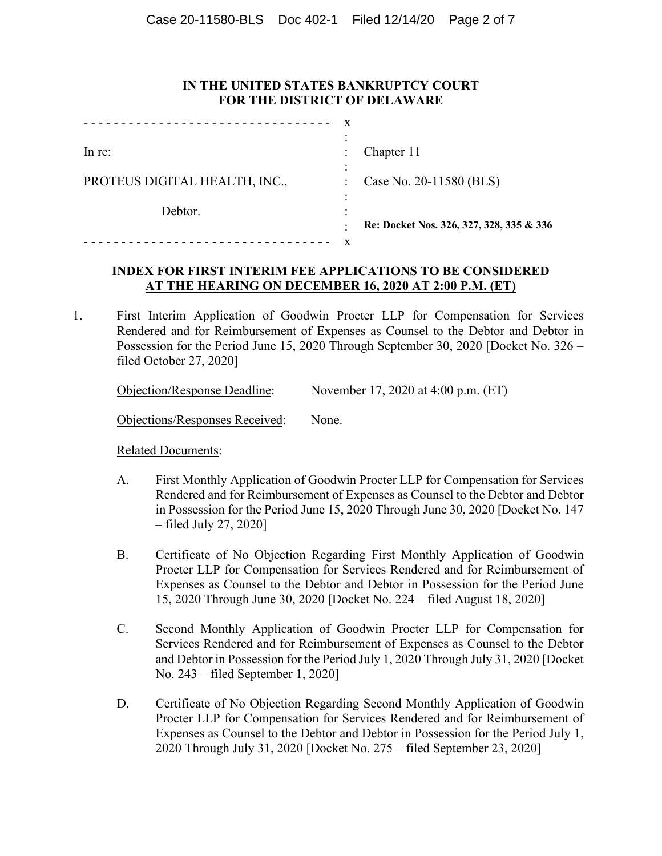### **IN THE UNITED STATES BANKRUPTCY COURT FOR THE DISTRICT OF DELAWARE**

|                               | x |                                          |
|-------------------------------|---|------------------------------------------|
|                               |   |                                          |
| $ln re$ :                     |   | Chapter 11                               |
|                               | ۰ |                                          |
| PROTEUS DIGITAL HEALTH, INC., | ÷ | Case No. 20-11580 (BLS)                  |
|                               |   |                                          |
| Debtor.                       |   |                                          |
|                               |   | Re: Docket Nos. 326, 327, 328, 335 & 336 |
|                               | x |                                          |

## **INDEX FOR FIRST INTERIM FEE APPLICATIONS TO BE CONSIDERED AT THE HEARING ON DECEMBER 16, 2020 AT 2:00 P.M. (ET)**

1. First Interim Application of Goodwin Procter LLP for Compensation for Services Rendered and for Reimbursement of Expenses as Counsel to the Debtor and Debtor in Possession for the Period June 15, 2020 Through September 30, 2020 [Docket No. 326 – filed October 27, 2020]

| <b>Objection/Response Deadline:</b> | November 17, 2020 at 4:00 p.m. (ET) |  |
|-------------------------------------|-------------------------------------|--|
|                                     |                                     |  |

Objections/Responses Received: None.

- A. First Monthly Application of Goodwin Procter LLP for Compensation for Services Rendered and for Reimbursement of Expenses as Counsel to the Debtor and Debtor in Possession for the Period June 15, 2020 Through June 30, 2020 [Docket No. 147 – filed July 27, 2020]
- B. Certificate of No Objection Regarding First Monthly Application of Goodwin Procter LLP for Compensation for Services Rendered and for Reimbursement of Expenses as Counsel to the Debtor and Debtor in Possession for the Period June 15, 2020 Through June 30, 2020 [Docket No. 224 – filed August 18, 2020]
- C. Second Monthly Application of Goodwin Procter LLP for Compensation for Services Rendered and for Reimbursement of Expenses as Counsel to the Debtor and Debtor in Possession for the Period July 1, 2020 Through July 31, 2020 [Docket No. 243 – filed September 1, 2020]
- D. Certificate of No Objection Regarding Second Monthly Application of Goodwin Procter LLP for Compensation for Services Rendered and for Reimbursement of Expenses as Counsel to the Debtor and Debtor in Possession for the Period July 1, 2020 Through July 31, 2020 [Docket No. 275 – filed September 23, 2020]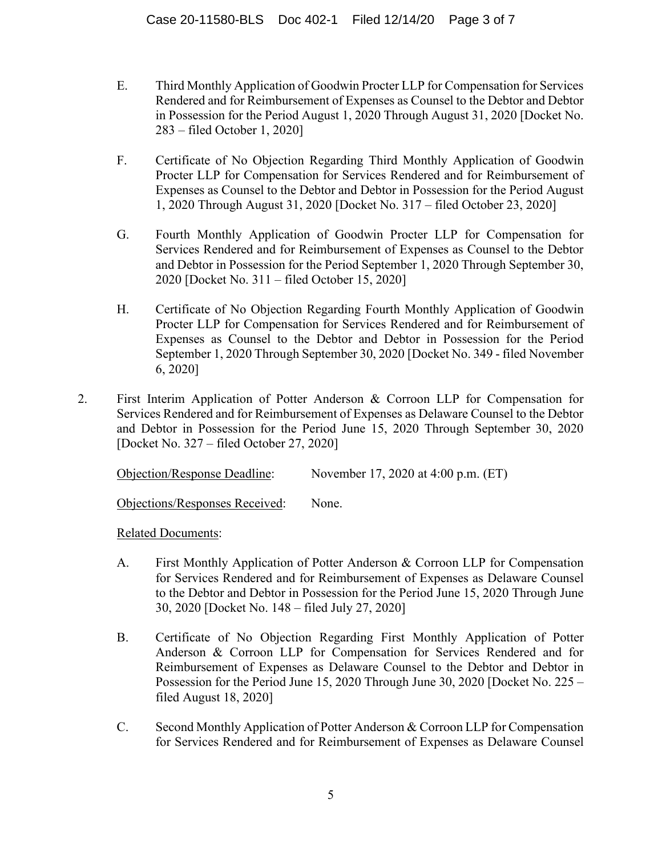- E. Third Monthly Application of Goodwin Procter LLP for Compensation for Services Rendered and for Reimbursement of Expenses as Counsel to the Debtor and Debtor in Possession for the Period August 1, 2020 Through August 31, 2020 [Docket No. 283 – filed October 1, 2020]
- F. Certificate of No Objection Regarding Third Monthly Application of Goodwin Procter LLP for Compensation for Services Rendered and for Reimbursement of Expenses as Counsel to the Debtor and Debtor in Possession for the Period August 1, 2020 Through August 31, 2020 [Docket No. 317 – filed October 23, 2020]
- G. Fourth Monthly Application of Goodwin Procter LLP for Compensation for Services Rendered and for Reimbursement of Expenses as Counsel to the Debtor and Debtor in Possession for the Period September 1, 2020 Through September 30, 2020 [Docket No. 311 – filed October 15, 2020]
- H. Certificate of No Objection Regarding Fourth Monthly Application of Goodwin Procter LLP for Compensation for Services Rendered and for Reimbursement of Expenses as Counsel to the Debtor and Debtor in Possession for the Period September 1, 2020 Through September 30, 2020 [Docket No. 349 - filed November 6, 2020]
- 2. First Interim Application of Potter Anderson & Corroon LLP for Compensation for Services Rendered and for Reimbursement of Expenses as Delaware Counsel to the Debtor and Debtor in Possession for the Period June 15, 2020 Through September 30, 2020 [Docket No. 327 – filed October 27, 2020]

Objection/Response Deadline: November 17, 2020 at 4:00 p.m. (ET)

Objections/Responses Received: None.

- A. First Monthly Application of Potter Anderson & Corroon LLP for Compensation for Services Rendered and for Reimbursement of Expenses as Delaware Counsel to the Debtor and Debtor in Possession for the Period June 15, 2020 Through June 30, 2020 [Docket No. 148 – filed July 27, 2020]
- B. Certificate of No Objection Regarding First Monthly Application of Potter Anderson & Corroon LLP for Compensation for Services Rendered and for Reimbursement of Expenses as Delaware Counsel to the Debtor and Debtor in Possession for the Period June 15, 2020 Through June 30, 2020 [Docket No. 225 – filed August 18, 2020]
- C. Second Monthly Application of Potter Anderson & Corroon LLP for Compensation for Services Rendered and for Reimbursement of Expenses as Delaware Counsel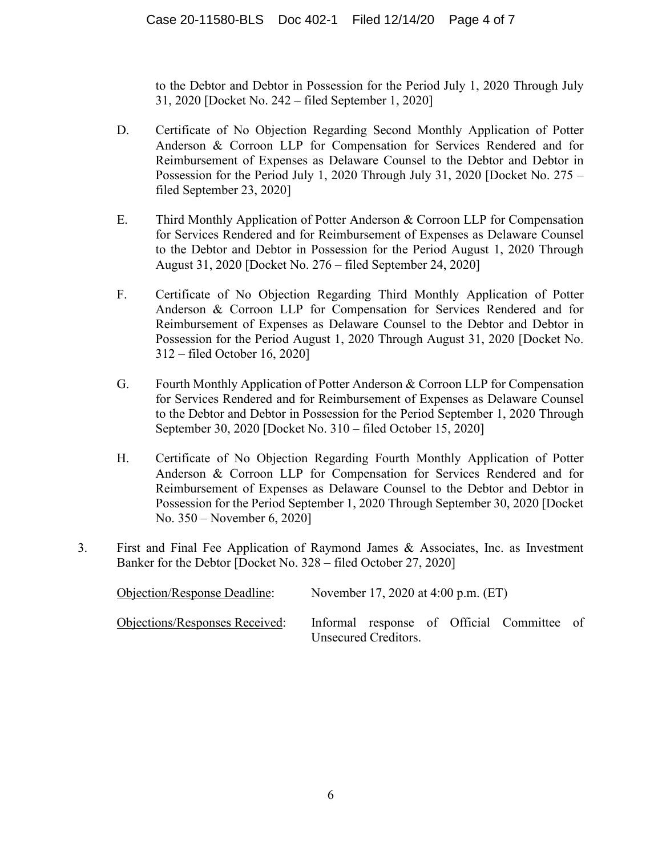to the Debtor and Debtor in Possession for the Period July 1, 2020 Through July 31, 2020 [Docket No. 242 – filed September 1, 2020]

- D. Certificate of No Objection Regarding Second Monthly Application of Potter Anderson & Corroon LLP for Compensation for Services Rendered and for Reimbursement of Expenses as Delaware Counsel to the Debtor and Debtor in Possession for the Period July 1, 2020 Through July 31, 2020 [Docket No. 275 – filed September 23, 2020]
- E. Third Monthly Application of Potter Anderson & Corroon LLP for Compensation for Services Rendered and for Reimbursement of Expenses as Delaware Counsel to the Debtor and Debtor in Possession for the Period August 1, 2020 Through August 31, 2020 [Docket No. 276 – filed September 24, 2020]
- F. Certificate of No Objection Regarding Third Monthly Application of Potter Anderson & Corroon LLP for Compensation for Services Rendered and for Reimbursement of Expenses as Delaware Counsel to the Debtor and Debtor in Possession for the Period August 1, 2020 Through August 31, 2020 [Docket No. 312 – filed October 16, 2020]
- G. Fourth Monthly Application of Potter Anderson & Corroon LLP for Compensation for Services Rendered and for Reimbursement of Expenses as Delaware Counsel to the Debtor and Debtor in Possession for the Period September 1, 2020 Through September 30, 2020 [Docket No. 310 – filed October 15, 2020]
- H. Certificate of No Objection Regarding Fourth Monthly Application of Potter Anderson & Corroon LLP for Compensation for Services Rendered and for Reimbursement of Expenses as Delaware Counsel to the Debtor and Debtor in Possession for the Period September 1, 2020 Through September 30, 2020 [Docket No. 350 – November 6, 2020]
- 3. First and Final Fee Application of Raymond James & Associates, Inc. as Investment Banker for the Debtor [Docket No. 328 – filed October 27, 2020]

| Objection/Response Deadline:   | November 17, 2020 at 4:00 p.m. (ET)                                |  |  |  |  |
|--------------------------------|--------------------------------------------------------------------|--|--|--|--|
| Objections/Responses Received: | Informal response of Official Committee of<br>Unsecured Creditors. |  |  |  |  |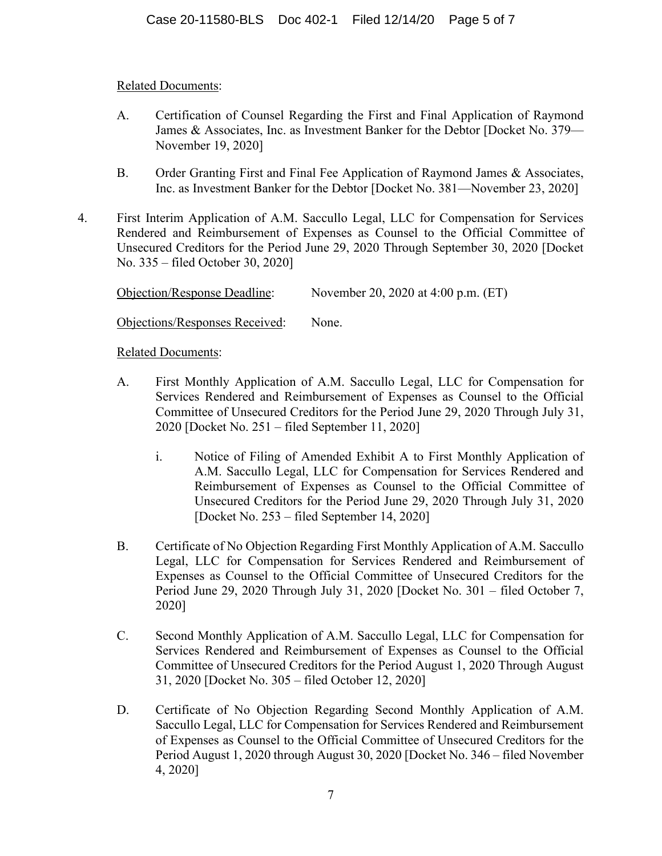## Related Documents:

- A. Certification of Counsel Regarding the First and Final Application of Raymond James & Associates, Inc. as Investment Banker for the Debtor [Docket No. 379— November 19, 2020]
- B. Order Granting First and Final Fee Application of Raymond James & Associates, Inc. as Investment Banker for the Debtor [Docket No. 381—November 23, 2020]
- 4. First Interim Application of A.M. Saccullo Legal, LLC for Compensation for Services Rendered and Reimbursement of Expenses as Counsel to the Official Committee of Unsecured Creditors for the Period June 29, 2020 Through September 30, 2020 [Docket No. 335 – filed October 30, 2020]

| <b>Objection/Response Deadline:</b> | November 20, 2020 at 4:00 p.m. (ET) |  |
|-------------------------------------|-------------------------------------|--|
|                                     |                                     |  |

Objections/Responses Received: None.

- A. First Monthly Application of A.M. Saccullo Legal, LLC for Compensation for Services Rendered and Reimbursement of Expenses as Counsel to the Official Committee of Unsecured Creditors for the Period June 29, 2020 Through July 31, 2020 [Docket No. 251 – filed September 11, 2020]
	- i. Notice of Filing of Amended Exhibit A to First Monthly Application of A.M. Saccullo Legal, LLC for Compensation for Services Rendered and Reimbursement of Expenses as Counsel to the Official Committee of Unsecured Creditors for the Period June 29, 2020 Through July 31, 2020 [Docket No. 253 – filed September 14, 2020]
- B. Certificate of No Objection Regarding First Monthly Application of A.M. Saccullo Legal, LLC for Compensation for Services Rendered and Reimbursement of Expenses as Counsel to the Official Committee of Unsecured Creditors for the Period June 29, 2020 Through July 31, 2020 [Docket No. 301 – filed October 7, 2020]
- C. Second Monthly Application of A.M. Saccullo Legal, LLC for Compensation for Services Rendered and Reimbursement of Expenses as Counsel to the Official Committee of Unsecured Creditors for the Period August 1, 2020 Through August 31, 2020 [Docket No. 305 – filed October 12, 2020]
- D. Certificate of No Objection Regarding Second Monthly Application of A.M. Saccullo Legal, LLC for Compensation for Services Rendered and Reimbursement of Expenses as Counsel to the Official Committee of Unsecured Creditors for the Period August 1, 2020 through August 30, 2020 [Docket No. 346 – filed November 4, 2020]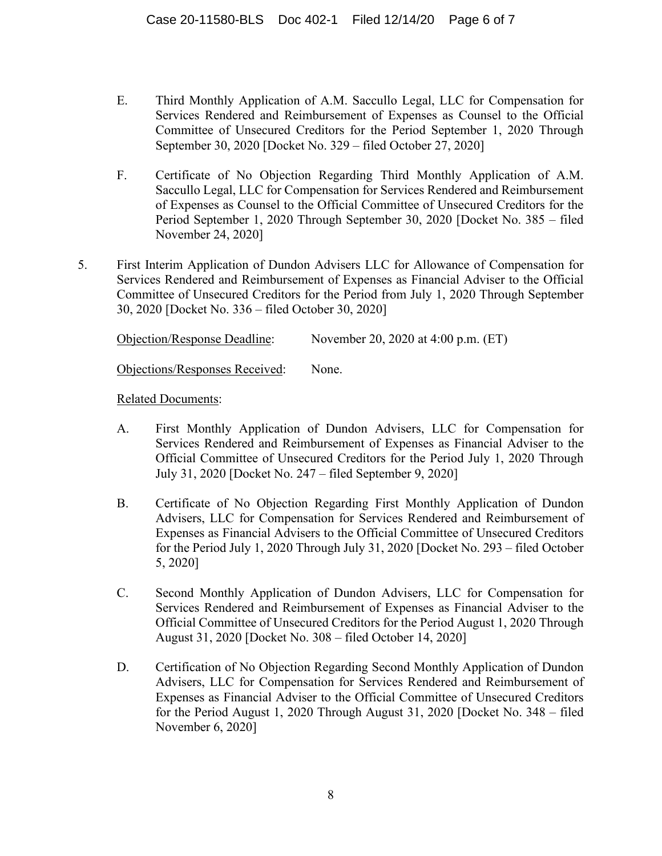- E. Third Monthly Application of A.M. Saccullo Legal, LLC for Compensation for Services Rendered and Reimbursement of Expenses as Counsel to the Official Committee of Unsecured Creditors for the Period September 1, 2020 Through September 30, 2020 [Docket No. 329 – filed October 27, 2020]
- F. Certificate of No Objection Regarding Third Monthly Application of A.M. Saccullo Legal, LLC for Compensation for Services Rendered and Reimbursement of Expenses as Counsel to the Official Committee of Unsecured Creditors for the Period September 1, 2020 Through September 30, 2020 [Docket No. 385 – filed November 24, 2020]
- 5. First Interim Application of Dundon Advisers LLC for Allowance of Compensation for Services Rendered and Reimbursement of Expenses as Financial Adviser to the Official Committee of Unsecured Creditors for the Period from July 1, 2020 Through September 30, 2020 [Docket No. 336 – filed October 30, 2020]

Objection/Response Deadline: November 20, 2020 at 4:00 p.m. (ET)

Objections/Responses Received: None.

- A. First Monthly Application of Dundon Advisers, LLC for Compensation for Services Rendered and Reimbursement of Expenses as Financial Adviser to the Official Committee of Unsecured Creditors for the Period July 1, 2020 Through July 31, 2020 [Docket No. 247 – filed September 9, 2020]
- B. Certificate of No Objection Regarding First Monthly Application of Dundon Advisers, LLC for Compensation for Services Rendered and Reimbursement of Expenses as Financial Advisers to the Official Committee of Unsecured Creditors for the Period July 1, 2020 Through July 31, 2020 [Docket No. 293 – filed October 5, 2020]
- C. Second Monthly Application of Dundon Advisers, LLC for Compensation for Services Rendered and Reimbursement of Expenses as Financial Adviser to the Official Committee of Unsecured Creditors for the Period August 1, 2020 Through August 31, 2020 [Docket No. 308 – filed October 14, 2020]
- D. Certification of No Objection Regarding Second Monthly Application of Dundon Advisers, LLC for Compensation for Services Rendered and Reimbursement of Expenses as Financial Adviser to the Official Committee of Unsecured Creditors for the Period August 1, 2020 Through August 31, 2020 [Docket No. 348 – filed November 6, 2020]